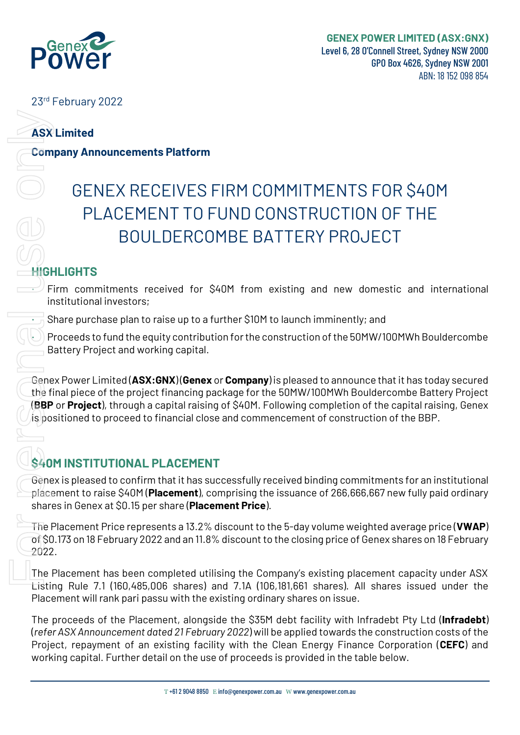

23<sup>rd</sup> February 2022

### **ASX Limited**

**Company Announcements Platform**

# GENEX RECEIVES FIRM COMMITMENTS FOR \$40M PLACEMENT TO FUND CONSTRUCTION OF THE BOULDERCOMBE BATTERY PROJECT We Compute the Computer of computer of computer and the user of proceeds is provided in the table or the user of proceeds in the user of proceeds in the user of proceeds in the user of proceeds in the user of proceeds in t

# **HIGHLIGHTS**

Firm commitments received for \$40M from existing and new domestic and international institutional investors;

• Share purchase plan to raise up to a further \$10M to launch imminently; and

• Proceeds to fund the equity contribution for the construction of the 50MW/100MWh Bouldercombe Battery Project and working capital.

Genex Power Limited (**ASX:GNX**) (**Genex** or **Company**) is pleased to announce that it has today secured the final piece of the project financing package for the 50MW/100MWh Bouldercombe Battery Project (**BBP** or **Project**), through a capital raising of \$40M. Following completion of the capital raising, Genex  $\sin\beta$  positioned to proceed to financial close and commencement of construction of the BBP.

# **\$40M INSTITUTIONAL PLACEMENT**

Genex is pleased to confirm that it has successfully received binding commitments for an institutional placement to raise \$40M (**Placement**), comprising the issuance of 266,666,667 new fully paid ordinary shares in Genex at \$0.15 per share (**Placement Price**).

The Placement Price represents a 13.2% discount to the 5-day volume weighted average price (**VWAP**) of \$0.173 on 18 February 2022 and an 11.8% discount to the closing price of Genex shares on 18 February 2022.

The Placement has been completed utilising the Company's existing placement capacity under ASX Listing Rule 7.1 (160,485,006 shares) and 7.1A (106,181,661 shares). All shares issued under the Placement will rank pari passu with the existing ordinary shares on issue.

The proceeds of the Placement, alongside the \$35M debt facility with Infradebt Pty Ltd (**Infradebt**) (*refer ASX Announcement dated 21 February 2022*) will be applied towards the construction costs of the Project, repayment of an existing facility with the Clean Energy Finance Corporation (**CEFC**) and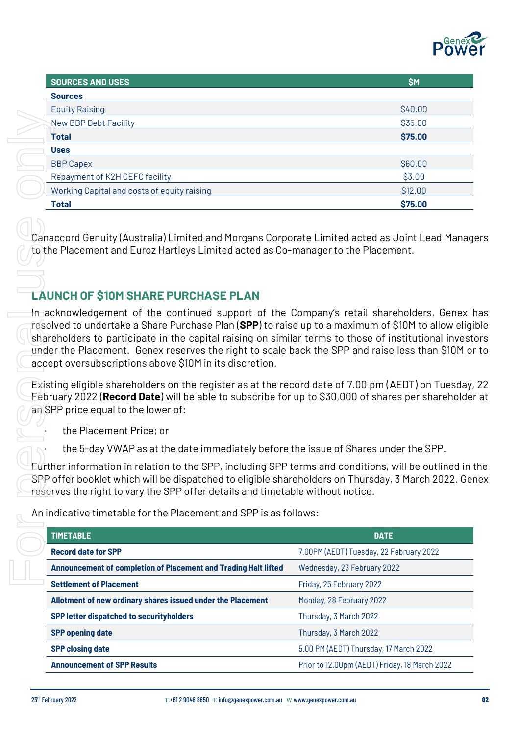

| <b>SOURCES AND USES</b>                     | <b>SM</b> |
|---------------------------------------------|-----------|
| <b>Sources</b>                              |           |
| <b>Equity Raising</b>                       | \$40.00   |
| New BBP Debt Facility                       | \$35.00   |
| <b>Total</b>                                | \$75.00   |
| <b>Uses</b>                                 |           |
| <b>BBP Capex</b>                            | \$60.00   |
| Repayment of K2H CEFC facility              | \$3.00    |
| Working Capital and costs of equity raising | \$12.00   |
| <b>Total</b>                                | \$75.00   |

## **LAUNCH OF \$10M SHARE PURCHASE PLAN**

| \$35.00<br>\$75.00<br>\$60.00<br>\$3.00<br>\$12.00<br>\$75.00<br>Canaccord Genuity (Australia) Limited and Morgans Corporate Limited acted as Joint Lead Manag<br>to the Placement and Euroz Hartleys Limited acted as Co-manager to the Placement.<br>In acknowledgement of the continued support of the Company's retail shareholders, Genex I<br>resolved to undertake a Share Purchase Plan (SPP) to raise up to a maximum of \$10M to allow eligi<br>shareholders to participate in the capital raising on similar terms to those of institutional invest |
|----------------------------------------------------------------------------------------------------------------------------------------------------------------------------------------------------------------------------------------------------------------------------------------------------------------------------------------------------------------------------------------------------------------------------------------------------------------------------------------------------------------------------------------------------------------|
|                                                                                                                                                                                                                                                                                                                                                                                                                                                                                                                                                                |
|                                                                                                                                                                                                                                                                                                                                                                                                                                                                                                                                                                |
|                                                                                                                                                                                                                                                                                                                                                                                                                                                                                                                                                                |
|                                                                                                                                                                                                                                                                                                                                                                                                                                                                                                                                                                |
|                                                                                                                                                                                                                                                                                                                                                                                                                                                                                                                                                                |
|                                                                                                                                                                                                                                                                                                                                                                                                                                                                                                                                                                |
|                                                                                                                                                                                                                                                                                                                                                                                                                                                                                                                                                                |
|                                                                                                                                                                                                                                                                                                                                                                                                                                                                                                                                                                |
|                                                                                                                                                                                                                                                                                                                                                                                                                                                                                                                                                                |
| under the Placement. Genex reserves the right to scale back the SPP and raise less than \$10M or                                                                                                                                                                                                                                                                                                                                                                                                                                                               |
| Existing eligible shareholders on the register as at the record date of 7.00 pm (AEDT) on Tuesday,<br>Eebruary 2022 ( <b>Record Date</b> ) will be able to subscribe for up to \$30,000 of shares per shareholdeı                                                                                                                                                                                                                                                                                                                                              |
|                                                                                                                                                                                                                                                                                                                                                                                                                                                                                                                                                                |
| the 5-day VWAP as at the date immediately before the issue of Shares under the SPP.                                                                                                                                                                                                                                                                                                                                                                                                                                                                            |
| Further information in relation to the SPP, including SPP terms and conditions, will be outlined in :<br>SPP offer booklet which will be dispatched to eligible shareholders on Thursday, 3 March 2022. Ger<br>reserves the right to vary the SPP offer details and timetable without notice.                                                                                                                                                                                                                                                                  |
| An indicative timetable for the Placement and SPP is as follows:                                                                                                                                                                                                                                                                                                                                                                                                                                                                                               |
| <b>DATE</b>                                                                                                                                                                                                                                                                                                                                                                                                                                                                                                                                                    |
| 7.00PM (AEDT) Tuesday, 22 February 2022                                                                                                                                                                                                                                                                                                                                                                                                                                                                                                                        |
| Wednesday, 23 February 2022                                                                                                                                                                                                                                                                                                                                                                                                                                                                                                                                    |
| Friday, 25 February 2022                                                                                                                                                                                                                                                                                                                                                                                                                                                                                                                                       |
| Monday, 28 February 2022                                                                                                                                                                                                                                                                                                                                                                                                                                                                                                                                       |
| Thursday, 3 March 2022                                                                                                                                                                                                                                                                                                                                                                                                                                                                                                                                         |
| Thursday, 3 March 2022                                                                                                                                                                                                                                                                                                                                                                                                                                                                                                                                         |
| 5.00 PM (AEDT) Thursday, 17 March 2022                                                                                                                                                                                                                                                                                                                                                                                                                                                                                                                         |
| Prior to 12.00pm (AEDT) Friday, 18 March 2022                                                                                                                                                                                                                                                                                                                                                                                                                                                                                                                  |
|                                                                                                                                                                                                                                                                                                                                                                                                                                                                                                                                                                |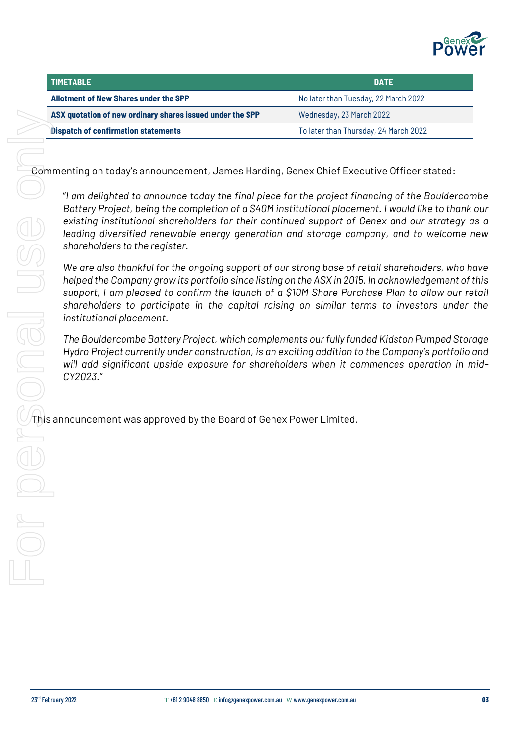

| <b>TIMETABLE</b>                                          | DATE                                  |
|-----------------------------------------------------------|---------------------------------------|
| Allotment of New Shares under the SPP                     | No later than Tuesday, 22 March 2022  |
| ASX quotation of new ordinary shares issued under the SPP | Wednesday, 23 March 2022              |
| <b>Dispatch of confirmation statements</b>                | To later than Thursday, 24 March 2022 |

Commenting on today's announcement, James Harding, Genex Chief Executive Officer stated:

"*I am delighted to announce today the final piece for the project financing of the Bouldercombe Battery Project, being the completion of a \$40M institutional placement. I would like to thank our existing institutional shareholders for their continued support of Genex and our strategy as a leading diversified renewable energy generation and storage company, and to welcome new shareholders to the register.* 

*We are also thankful for the ongoing support of our strong base of retail shareholders, who have helped the Company grow its portfolio since listing on the ASX in 2015. In acknowledgement of this support, I am pleased to confirm the launch of a \$10M Share Purchase Plan to allow our retail shareholders to participate in the capital raising on similar terms to investors under the institutional placement.*

*The Bouldercombe Battery Project, which complements our fully funded Kidston Pumped Storage Hydro Project currently under construction, is an exciting addition to the Company's portfolio and will add significant upside exposure for shareholders when it commences operation in mid-CY2023."*